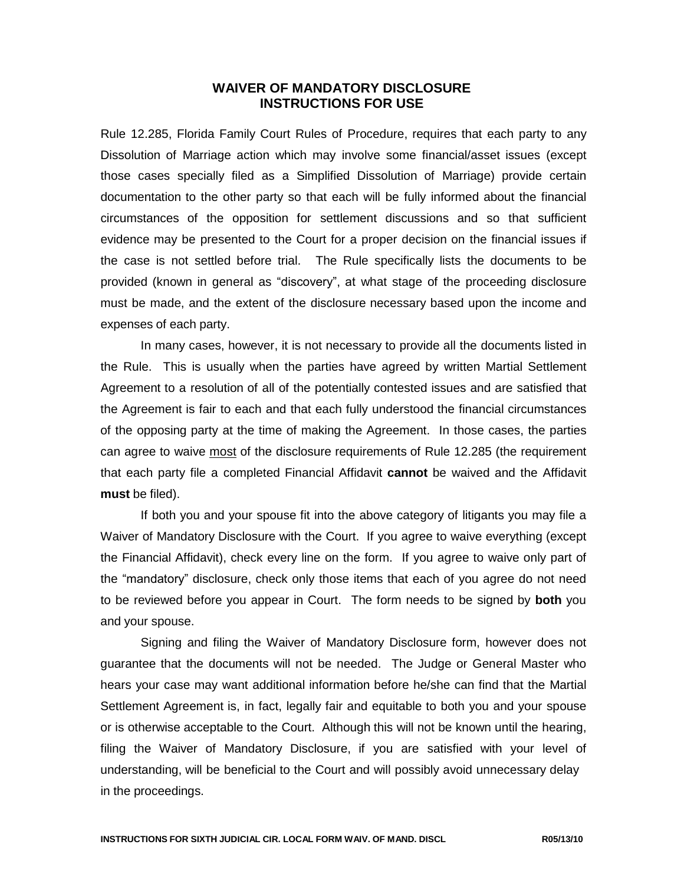## **WAIVER OF MANDATORY DISCLOSURE INSTRUCTIONS FOR USE**

Rule 12.285, Florida Family Court Rules of Procedure, requires that each party to any Dissolution of Marriage action which may involve some financial/asset issues (except those cases specially filed as a Simplified Dissolution of Marriage) provide certain documentation to the other party so that each will be fully informed about the financial circumstances of the opposition for settlement discussions and so that sufficient evidence may be presented to the Court for a proper decision on the financial issues if the case is not settled before trial. The Rule specifically lists the documents to be provided (known in general as "discovery", at what stage of the proceeding disclosure must be made, and the extent of the disclosure necessary based upon the income and expenses of each party.

In many cases, however, it is not necessary to provide all the documents listed in the Rule. This is usually when the parties have agreed by written Martial Settlement Agreement to a resolution of all of the potentially contested issues and are satisfied that the Agreement is fair to each and that each fully understood the financial circumstances of the opposing party at the time of making the Agreement. In those cases, the parties can agree to waive most of the disclosure requirements of Rule 12.285 (the requirement that each party file a completed Financial Affidavit **cannot** be waived and the Affidavit **must** be filed).

If both you and your spouse fit into the above category of litigants you may file a Waiver of Mandatory Disclosure with the Court. If you agree to waive everything (except the Financial Affidavit), check every line on the form. If you agree to waive only part of the "mandatory" disclosure, check only those items that each of you agree do not need to be reviewed before you appear in Court. The form needs to be signed by **both** you and your spouse.

Signing and filing the Waiver of Mandatory Disclosure form, however does not guarantee that the documents will not be needed. The Judge or General Master who hears your case may want additional information before he/she can find that the Martial Settlement Agreement is, in fact, legally fair and equitable to both you and your spouse or is otherwise acceptable to the Court. Although this will not be known until the hearing, filing the Waiver of Mandatory Disclosure, if you are satisfied with your level of understanding, will be beneficial to the Court and will possibly avoid unnecessary delay in the proceedings.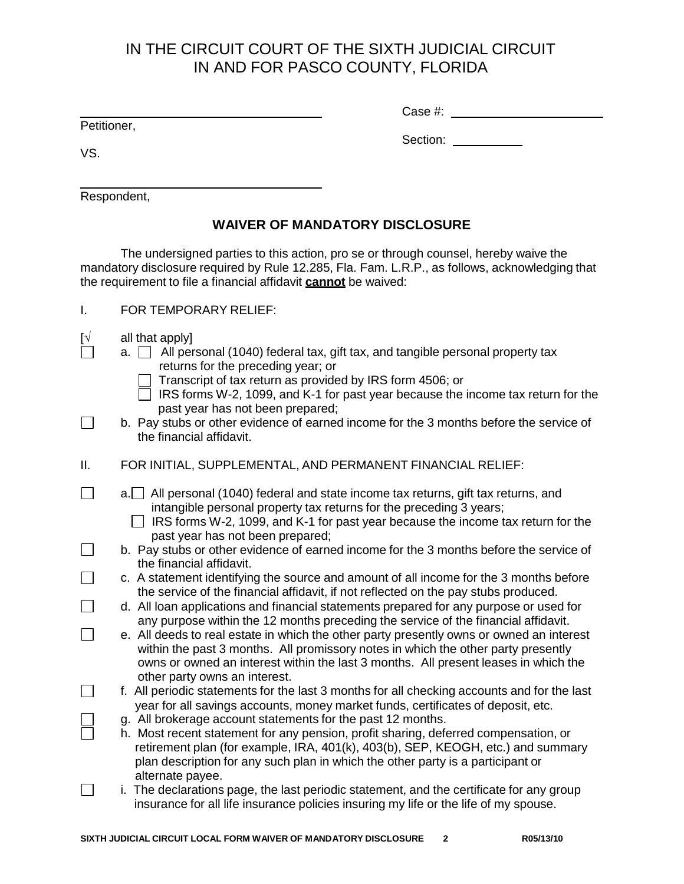## IN THE CIRCUIT COURT OF THE SIXTH JUDICIAL CIRCUIT IN AND FOR PASCO COUNTY, FLORIDA

Petitioner,

Case #:

VS.

 $\Box$ 

 $\Box$ 

 $\Box$ 

 $\Box$ 

 $\Box$ 

Section: **Section:** 

Respondent,

## **WAIVER OF MANDATORY DISCLOSURE**

The undersigned parties to this action, pro se or through counsel, hereby waive the mandatory disclosure required by Rule 12.285, Fla. Fam. L.R.P., as follows, acknowledging that the requirement to file a financial affidavit **cannot** be waived:

- I. FOR TEMPORARY RELIEF:
- $[\sqrt{\phantom{a}}]$  all that apply]<br> $\begin{bmatrix} \Box & \Box & \Box & \end{bmatrix}$  All per
	- a.  $\Box$  All personal (1040) federal tax, gift tax, and tangible personal property tax returns for the preceding year; or
		- Transcript of tax return as provided by IRS form 4506; or
		- $\overline{\Box}$  IRS forms W-2, 1099, and K-1 for past year because the income tax return for the past year has not been prepared;
- $\Box$ b. Pay stubs or other evidence of earned income for the 3 months before the service of the financial affidavit.
- II. FOR INITIAL, SUPPLEMENTAL, AND PERMANENT FINANCIAL RELIEF:
- $\Box$  $a.$  All personal (1040) federal and state income tax returns, gift tax returns, and intangible personal property tax returns for the preceding 3 years;
	- $\Box$  IRS forms W-2, 1099, and K-1 for past year because the income tax return for the past year has not been prepared;
	- b. Pay stubs or other evidence of earned income for the 3 months before the service of the financial affidavit.
	- c. A statement identifying the source and amount of all income for the 3 months before the service of the financial affidavit, if not reflected on the pay stubs produced.
	- d. All loan applications and financial statements prepared for any purpose or used for any purpose within the 12 months preceding the service of the financial affidavit.
	- e. All deeds to real estate in which the other party presently owns or owned an interest within the past 3 months. All promissory notes in which the other party presently owns or owned an interest within the last 3 months. All present leases in which the other party owns an interest.
	- f. All periodic statements for the last 3 months for all checking accounts and for the last year for all savings accounts, money market funds, certificates of deposit, etc.
		- g. All brokerage account statements for the past 12 months.
		- h. Most recent statement for any pension, profit sharing, deferred compensation, or retirement plan (for example, IRA, 401(k), 403(b), SEP, KEOGH, etc.) and summary plan description for any such plan in which the other party is a participant or alternate payee.
- $\Box$ i. The declarations page, the last periodic statement, and the certificate for any group insurance for all life insurance policies insuring my life or the life of my spouse.